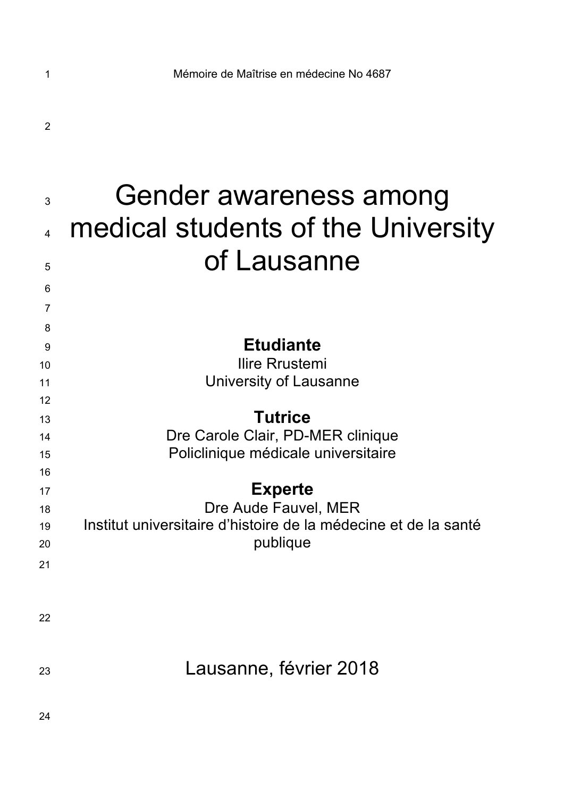| 3<br>$\overline{\mathbf{4}}$<br>5<br>6 | Gender awareness among<br>medical students of the University<br>of Lausanne                                           |
|----------------------------------------|-----------------------------------------------------------------------------------------------------------------------|
| 7                                      |                                                                                                                       |
| 8<br>9<br>10<br>11<br>12               | <b>Etudiante</b><br>Ilire Rrustemi<br>University of Lausanne                                                          |
| 13<br>14<br>15<br>16                   | <b>Tutrice</b><br>Dre Carole Clair, PD-MER clinique<br>Policlinique médicale universitaire                            |
| 17<br>18<br>19<br>20<br>21             | <b>Experte</b><br>Dre Aude Fauvel, MER<br>Institut universitaire d'histoire de la médecine et de la santé<br>publique |
| 22                                     |                                                                                                                       |
| 23                                     | Lausanne, février 2018                                                                                                |
| 24                                     |                                                                                                                       |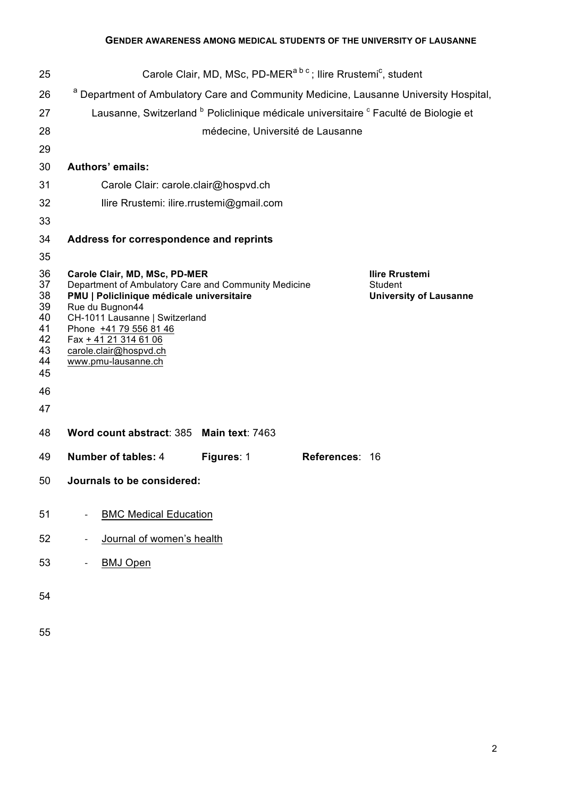| 25                                                                   |                                                                                                                                                                                                                                                                                             | Carole Clair, MD, MSc, PD-MER <sup>abc</sup> ; Ilire Rrustemi <sup>c</sup> , student |                |                                                                   |
|----------------------------------------------------------------------|---------------------------------------------------------------------------------------------------------------------------------------------------------------------------------------------------------------------------------------------------------------------------------------------|--------------------------------------------------------------------------------------|----------------|-------------------------------------------------------------------|
| 26                                                                   | <sup>a</sup> Department of Ambulatory Care and Community Medicine, Lausanne University Hospital,                                                                                                                                                                                            |                                                                                      |                |                                                                   |
| 27                                                                   | Lausanne, Switzerland <sup>b</sup> Policlinique médicale universitaire <sup>c</sup> Faculté de Biologie et                                                                                                                                                                                  |                                                                                      |                |                                                                   |
| 28                                                                   |                                                                                                                                                                                                                                                                                             | médecine, Université de Lausanne                                                     |                |                                                                   |
| 29                                                                   |                                                                                                                                                                                                                                                                                             |                                                                                      |                |                                                                   |
| 30                                                                   | Authors' emails:                                                                                                                                                                                                                                                                            |                                                                                      |                |                                                                   |
| 31                                                                   | Carole Clair: carole.clair@hospvd.ch                                                                                                                                                                                                                                                        |                                                                                      |                |                                                                   |
| 32                                                                   | Ilire Rrustemi: ilire.rrustemi@gmail.com                                                                                                                                                                                                                                                    |                                                                                      |                |                                                                   |
| 33                                                                   |                                                                                                                                                                                                                                                                                             |                                                                                      |                |                                                                   |
| 34                                                                   | Address for correspondence and reprints                                                                                                                                                                                                                                                     |                                                                                      |                |                                                                   |
| 35                                                                   |                                                                                                                                                                                                                                                                                             |                                                                                      |                |                                                                   |
| 36<br>37<br>38<br>39<br>40<br>41<br>42<br>43<br>44<br>45<br>46<br>47 | Carole Clair, MD, MSc, PD-MER<br>Department of Ambulatory Care and Community Medicine<br>PMU   Policlinique médicale universitaire<br>Rue du Bugnon44<br>CH-1011 Lausanne   Switzerland<br>Phone +41 79 556 81 46<br>Fax + 41 21 314 61 06<br>carole.clair@hospvd.ch<br>www.pmu-lausanne.ch |                                                                                      |                | <b>Ilire Rrustemi</b><br>Student<br><b>University of Lausanne</b> |
| 48                                                                   | Word count abstract: 385 Main text: 7463                                                                                                                                                                                                                                                    |                                                                                      |                |                                                                   |
| 49                                                                   | <b>Number of tables: 4</b>                                                                                                                                                                                                                                                                  | Figures: 1                                                                           | References: 16 |                                                                   |
| 50                                                                   | Journals to be considered:                                                                                                                                                                                                                                                                  |                                                                                      |                |                                                                   |
| 51                                                                   | <b>BMC Medical Education</b>                                                                                                                                                                                                                                                                |                                                                                      |                |                                                                   |
| 52                                                                   | Journal of women's health                                                                                                                                                                                                                                                                   |                                                                                      |                |                                                                   |
|                                                                      |                                                                                                                                                                                                                                                                                             |                                                                                      |                |                                                                   |
| 53                                                                   | <b>BMJ Open</b>                                                                                                                                                                                                                                                                             |                                                                                      |                |                                                                   |
| 54                                                                   |                                                                                                                                                                                                                                                                                             |                                                                                      |                |                                                                   |
| 55                                                                   |                                                                                                                                                                                                                                                                                             |                                                                                      |                |                                                                   |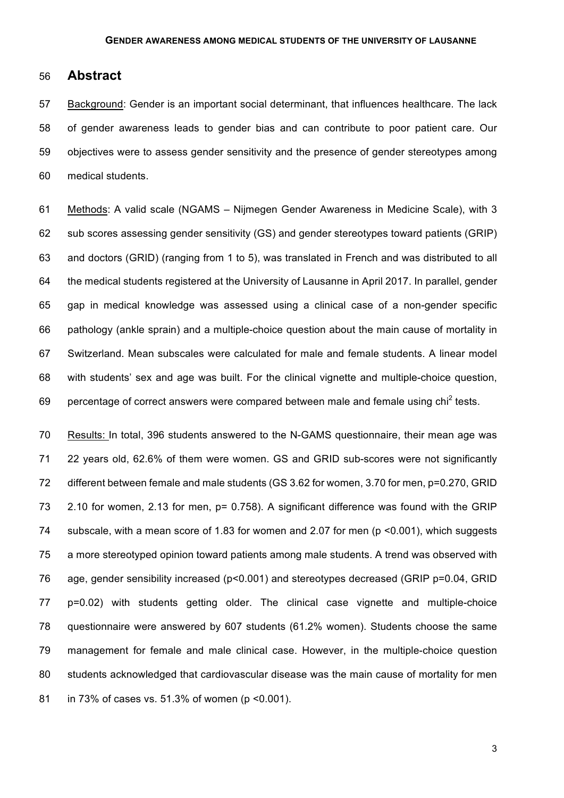## **Abstract**

 Background: Gender is an important social determinant, that influences healthcare. The lack of gender awareness leads to gender bias and can contribute to poor patient care. Our objectives were to assess gender sensitivity and the presence of gender stereotypes among medical students.

 Methods: A valid scale (NGAMS – Nijmegen Gender Awareness in Medicine Scale), with 3 sub scores assessing gender sensitivity (GS) and gender stereotypes toward patients (GRIP) and doctors (GRID) (ranging from 1 to 5), was translated in French and was distributed to all the medical students registered at the University of Lausanne in April 2017. In parallel, gender gap in medical knowledge was assessed using a clinical case of a non-gender specific pathology (ankle sprain) and a multiple-choice question about the main cause of mortality in Switzerland. Mean subscales were calculated for male and female students. A linear model with students' sex and age was built. For the clinical vignette and multiple-choice question, 69 percentage of correct answers were compared between male and female using chi tests.

 Results: In total, 396 students answered to the N-GAMS questionnaire, their mean age was 22 years old, 62.6% of them were women. GS and GRID sub-scores were not significantly different between female and male students (GS 3.62 for women, 3.70 for men, p=0.270, GRID 2.10 for women, 2.13 for men, p= 0.758). A significant difference was found with the GRIP subscale, with a mean score of 1.83 for women and 2.07 for men (p <0.001), which suggests a more stereotyped opinion toward patients among male students. A trend was observed with age, gender sensibility increased (p<0.001) and stereotypes decreased (GRIP p=0.04, GRID p=0.02) with students getting older. The clinical case vignette and multiple-choice questionnaire were answered by 607 students (61.2% women). Students choose the same management for female and male clinical case. However, in the multiple-choice question students acknowledged that cardiovascular disease was the main cause of mortality for men in 73% of cases vs. 51.3% of women (p <0.001).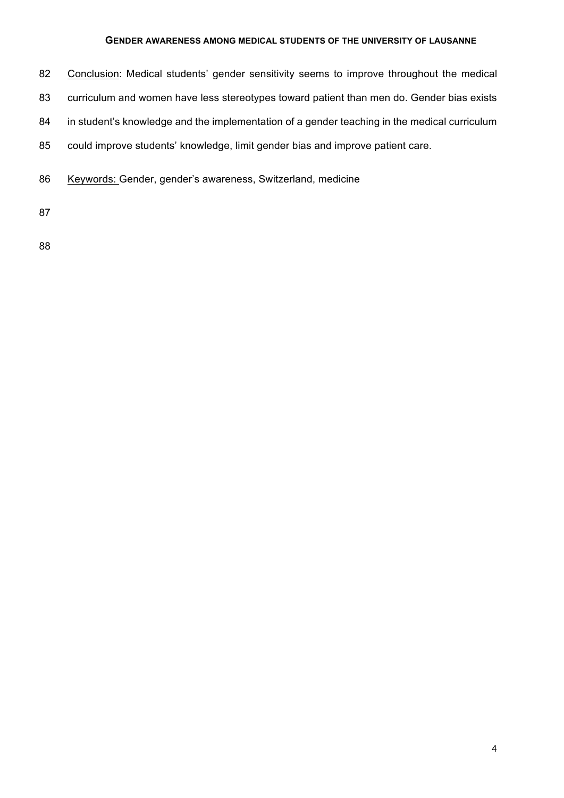- 82 Conclusion: Medical students' gender sensitivity seems to improve throughout the medical 83 curriculum and women have less stereotypes toward patient than men do. Gender bias exists 84 in student's knowledge and the implementation of a gender teaching in the medical curriculum 85 could improve students' knowledge, limit gender bias and improve patient care.
- 86 Keywords: Gender, gender's awareness, Switzerland, medicine

87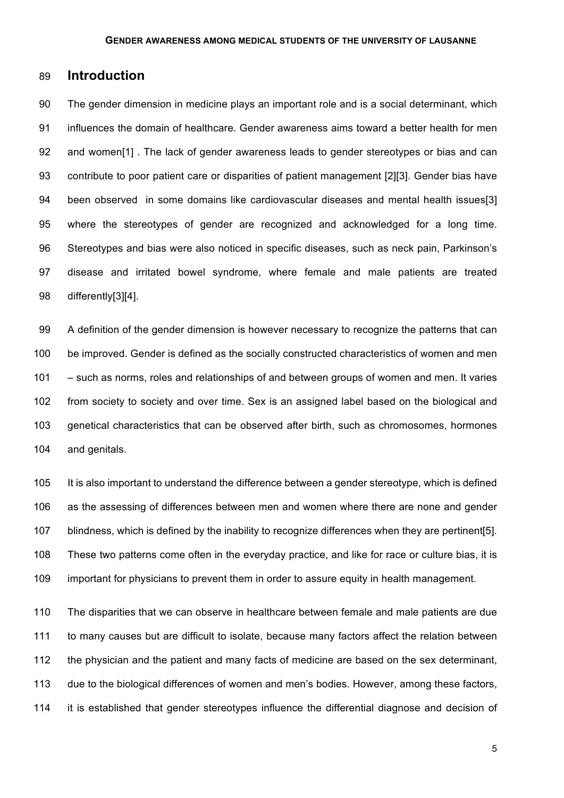## **Introduction**

 The gender dimension in medicine plays an important role and is a social determinant, which influences the domain of healthcare. Gender awareness aims toward a better health for men and women[1] . The lack of gender awareness leads to gender stereotypes or bias and can contribute to poor patient care or disparities of patient management [2][3]. Gender bias have been observed in some domains like cardiovascular diseases and mental health issues[3] where the stereotypes of gender are recognized and acknowledged for a long time. Stereotypes and bias were also noticed in specific diseases, such as neck pain, Parkinson's disease and irritated bowel syndrome, where female and male patients are treated differently[3][4].

 A definition of the gender dimension is however necessary to recognize the patterns that can be improved. Gender is defined as the socially constructed characteristics of women and men – such as norms, roles and relationships of and between groups of women and men. It varies from society to society and over time. Sex is an assigned label based on the biological and genetical characteristics that can be observed after birth, such as chromosomes, hormones and genitals.

 It is also important to understand the difference between a gender stereotype, which is defined as the assessing of differences between men and women where there are none and gender blindness, which is defined by the inability to recognize differences when they are pertinent[5]. These two patterns come often in the everyday practice, and like for race or culture bias, it is important for physicians to prevent them in order to assure equity in health management.

 The disparities that we can observe in healthcare between female and male patients are due to many causes but are difficult to isolate, because many factors affect the relation between the physician and the patient and many facts of medicine are based on the sex determinant, due to the biological differences of women and men's bodies. However, among these factors, it is established that gender stereotypes influence the differential diagnose and decision of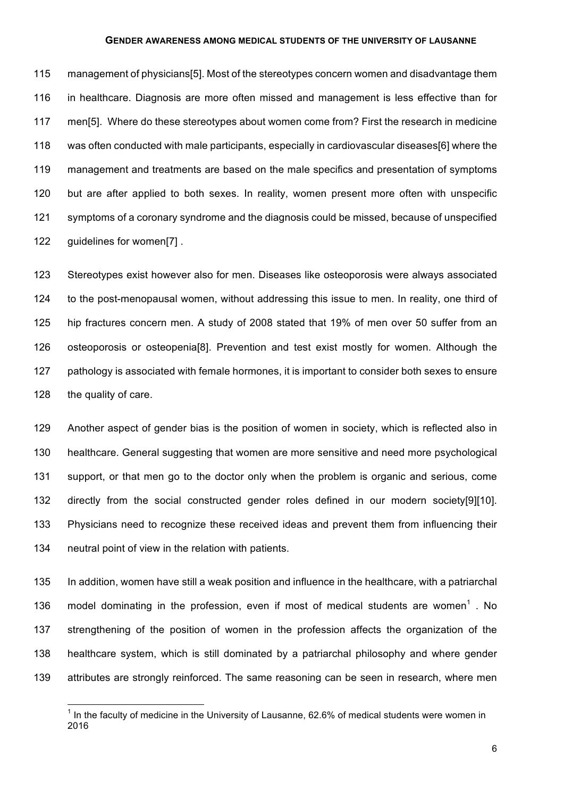management of physicians[5]. Most of the stereotypes concern women and disadvantage them in healthcare. Diagnosis are more often missed and management is less effective than for men[5]. Where do these stereotypes about women come from? First the research in medicine was often conducted with male participants, especially in cardiovascular diseases[6] where the management and treatments are based on the male specifics and presentation of symptoms but are after applied to both sexes. In reality, women present more often with unspecific symptoms of a coronary syndrome and the diagnosis could be missed, because of unspecified guidelines for women[7] .

 Stereotypes exist however also for men. Diseases like osteoporosis were always associated to the post-menopausal women, without addressing this issue to men. In reality, one third of hip fractures concern men. A study of 2008 stated that 19% of men over 50 suffer from an osteoporosis or osteopenia[8]. Prevention and test exist mostly for women. Although the 127 pathology is associated with female hormones, it is important to consider both sexes to ensure the quality of care.

 Another aspect of gender bias is the position of women in society, which is reflected also in healthcare. General suggesting that women are more sensitive and need more psychological support, or that men go to the doctor only when the problem is organic and serious, come directly from the social constructed gender roles defined in our modern society[9][10]. Physicians need to recognize these received ideas and prevent them from influencing their neutral point of view in the relation with patients.

 In addition, women have still a weak position and influence in the healthcare, with a patriarchal 136 model dominating in the profession, even if most of medical students are women<sup>1</sup>. No strengthening of the position of women in the profession affects the organization of the healthcare system, which is still dominated by a patriarchal philosophy and where gender attributes are strongly reinforced. The same reasoning can be seen in research, where men

 In the faculty of medicine in the University of Lausanne, 62.6% of medical students were women in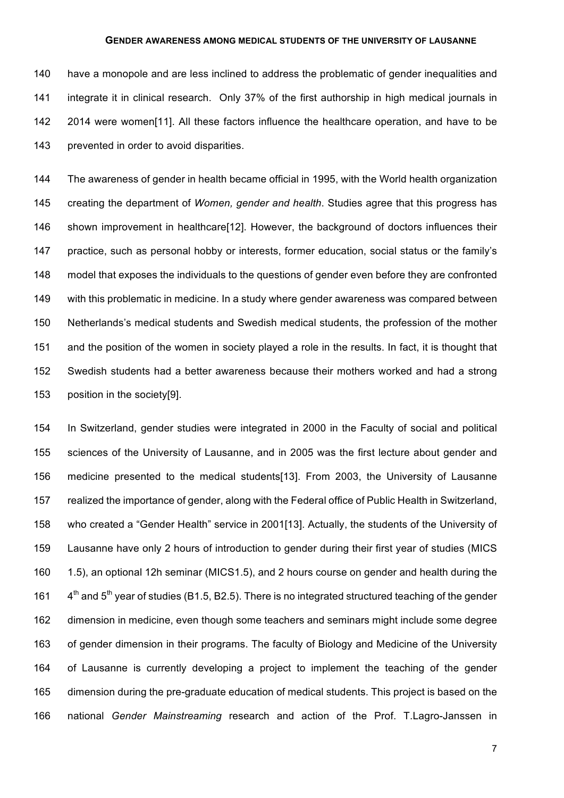have a monopole and are less inclined to address the problematic of gender inequalities and integrate it in clinical research. Only 37% of the first authorship in high medical journals in 2014 were women[11]. All these factors influence the healthcare operation, and have to be prevented in order to avoid disparities.

 The awareness of gender in health became official in 1995, with the World health organization creating the department of *Women, gender and health*. Studies agree that this progress has shown improvement in healthcare[12]. However, the background of doctors influences their practice, such as personal hobby or interests, former education, social status or the family's model that exposes the individuals to the questions of gender even before they are confronted with this problematic in medicine. In a study where gender awareness was compared between Netherlands's medical students and Swedish medical students, the profession of the mother and the position of the women in society played a role in the results. In fact, it is thought that Swedish students had a better awareness because their mothers worked and had a strong position in the society[9].

 In Switzerland, gender studies were integrated in 2000 in the Faculty of social and political sciences of the University of Lausanne, and in 2005 was the first lecture about gender and medicine presented to the medical students[13]. From 2003, the University of Lausanne realized the importance of gender, along with the Federal office of Public Health in Switzerland, who created a "Gender Health" service in 2001[13]. Actually, the students of the University of Lausanne have only 2 hours of introduction to gender during their first year of studies (MICS 1.5), an optional 12h seminar (MICS1.5), and 2 hours course on gender and health during the  $4<sup>th</sup>$  and 5<sup>th</sup> year of studies (B1.5, B2.5). There is no integrated structured teaching of the gender dimension in medicine, even though some teachers and seminars might include some degree of gender dimension in their programs. The faculty of Biology and Medicine of the University of Lausanne is currently developing a project to implement the teaching of the gender dimension during the pre-graduate education of medical students. This project is based on the national *Gender Mainstreaming* research and action of the Prof. T.Lagro-Janssen in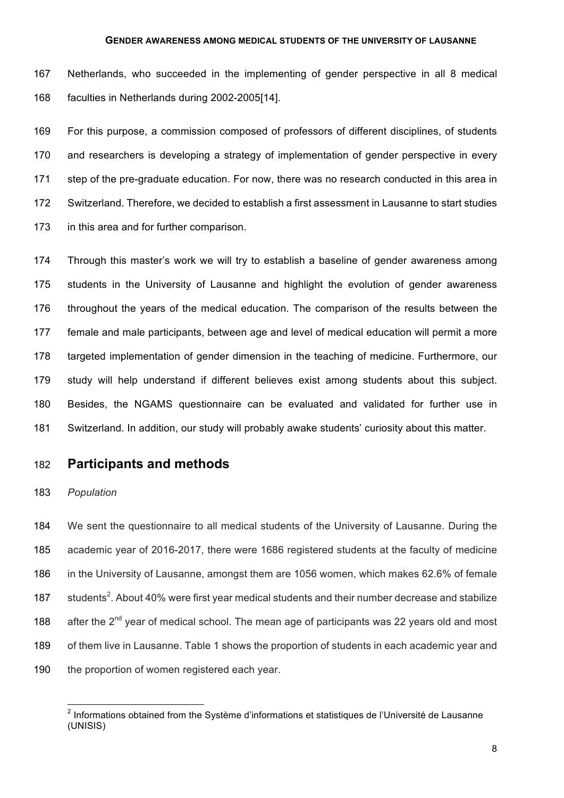Netherlands, who succeeded in the implementing of gender perspective in all 8 medical faculties in Netherlands during 2002-2005[14].

 For this purpose, a commission composed of professors of different disciplines, of students 170 and researchers is developing a strategy of implementation of gender perspective in every step of the pre-graduate education. For now, there was no research conducted in this area in Switzerland. Therefore, we decided to establish a first assessment in Lausanne to start studies in this area and for further comparison.

 Through this master's work we will try to establish a baseline of gender awareness among students in the University of Lausanne and highlight the evolution of gender awareness throughout the years of the medical education. The comparison of the results between the female and male participants, between age and level of medical education will permit a more targeted implementation of gender dimension in the teaching of medicine. Furthermore, our study will help understand if different believes exist among students about this subject. Besides, the NGAMS questionnaire can be evaluated and validated for further use in Switzerland. In addition, our study will probably awake students' curiosity about this matter.

## **Participants and methods**

### *Population*

 We sent the questionnaire to all medical students of the University of Lausanne. During the academic year of 2016-2017, there were 1686 registered students at the faculty of medicine in the University of Lausanne, amongst them are 1056 women, which makes 62.6% of female 187 students<sup>2</sup>. About 40% were first year medical students and their number decrease and stabilize 188 after the  $2^{nd}$  year of medical school. The mean age of participants was 22 years old and most of them live in Lausanne. Table 1 shows the proportion of students in each academic year and 190 the proportion of women registered each year.

 $\overline{a}$  Informations obtained from the Système d'informations et statistiques de l'Université de Lausanne (UNISIS)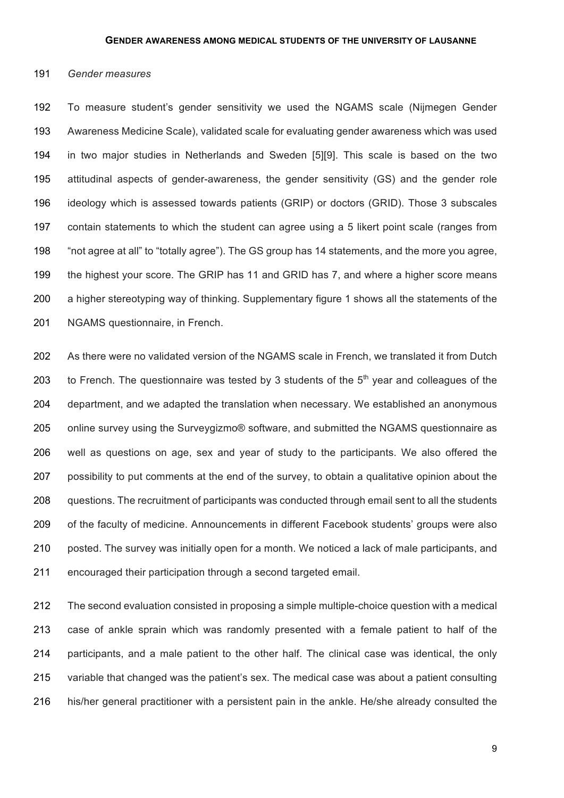#### *Gender measures*

 To measure student's gender sensitivity we used the NGAMS scale (Nijmegen Gender Awareness Medicine Scale), validated scale for evaluating gender awareness which was used in two major studies in Netherlands and Sweden [5][9]. This scale is based on the two attitudinal aspects of gender-awareness, the gender sensitivity (GS) and the gender role ideology which is assessed towards patients (GRIP) or doctors (GRID). Those 3 subscales contain statements to which the student can agree using a 5 likert point scale (ranges from "not agree at all" to "totally agree"). The GS group has 14 statements, and the more you agree, the highest your score. The GRIP has 11 and GRID has 7, and where a higher score means a higher stereotyping way of thinking. Supplementary figure 1 shows all the statements of the NGAMS questionnaire, in French.

 As there were no validated version of the NGAMS scale in French, we translated it from Dutch 203 to French. The questionnaire was tested by 3 students of the  $5<sup>th</sup>$  year and colleagues of the department, and we adapted the translation when necessary. We established an anonymous online survey using the Surveygizmo® software, and submitted the NGAMS questionnaire as well as questions on age, sex and year of study to the participants. We also offered the 207 possibility to put comments at the end of the survey, to obtain a qualitative opinion about the questions. The recruitment of participants was conducted through email sent to all the students of the faculty of medicine. Announcements in different Facebook students' groups were also posted. The survey was initially open for a month. We noticed a lack of male participants, and encouraged their participation through a second targeted email.

 The second evaluation consisted in proposing a simple multiple-choice question with a medical case of ankle sprain which was randomly presented with a female patient to half of the participants, and a male patient to the other half. The clinical case was identical, the only variable that changed was the patient's sex. The medical case was about a patient consulting his/her general practitioner with a persistent pain in the ankle. He/she already consulted the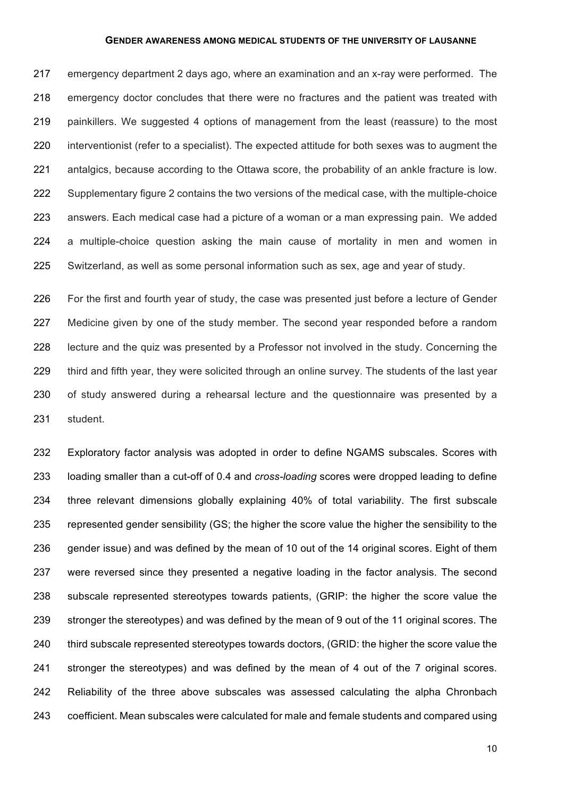emergency department 2 days ago, where an examination and an x-ray were performed. The emergency doctor concludes that there were no fractures and the patient was treated with painkillers. We suggested 4 options of management from the least (reassure) to the most interventionist (refer to a specialist). The expected attitude for both sexes was to augment the antalgics, because according to the Ottawa score, the probability of an ankle fracture is low. Supplementary figure 2 contains the two versions of the medical case, with the multiple-choice answers. Each medical case had a picture of a woman or a man expressing pain. We added a multiple-choice question asking the main cause of mortality in men and women in Switzerland, as well as some personal information such as sex, age and year of study.

 For the first and fourth year of study, the case was presented just before a lecture of Gender Medicine given by one of the study member. The second year responded before a random lecture and the quiz was presented by a Professor not involved in the study. Concerning the third and fifth year, they were solicited through an online survey. The students of the last year of study answered during a rehearsal lecture and the questionnaire was presented by a student.

 Exploratory factor analysis was adopted in order to define NGAMS subscales. Scores with loading smaller than a cut-off of 0.4 and *cross-loading* scores were dropped leading to define three relevant dimensions globally explaining 40% of total variability. The first subscale represented gender sensibility (GS; the higher the score value the higher the sensibility to the gender issue) and was defined by the mean of 10 out of the 14 original scores. Eight of them were reversed since they presented a negative loading in the factor analysis. The second subscale represented stereotypes towards patients, (GRIP: the higher the score value the stronger the stereotypes) and was defined by the mean of 9 out of the 11 original scores. The third subscale represented stereotypes towards doctors, (GRID: the higher the score value the stronger the stereotypes) and was defined by the mean of 4 out of the 7 original scores. Reliability of the three above subscales was assessed calculating the alpha Chronbach coefficient. Mean subscales were calculated for male and female students and compared using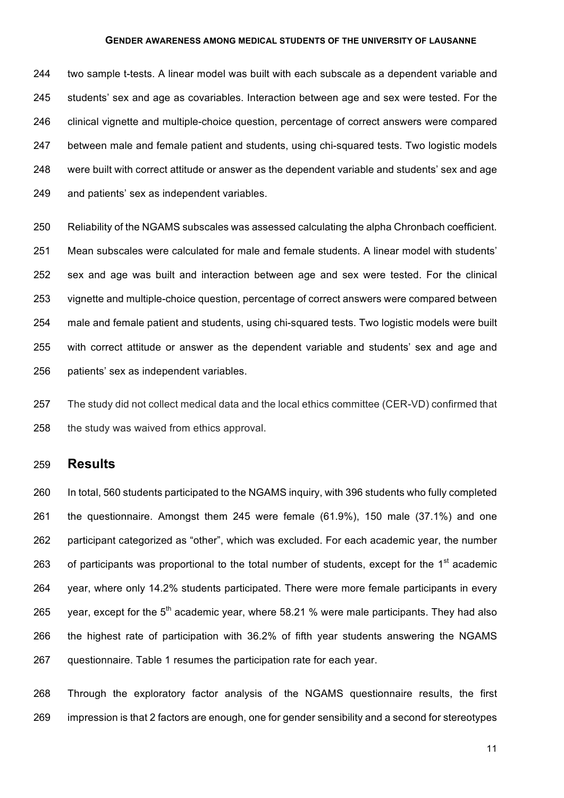two sample t-tests. A linear model was built with each subscale as a dependent variable and students' sex and age as covariables. Interaction between age and sex were tested. For the clinical vignette and multiple-choice question, percentage of correct answers were compared between male and female patient and students, using chi-squared tests. Two logistic models were built with correct attitude or answer as the dependent variable and students' sex and age and patients' sex as independent variables.

 Reliability of the NGAMS subscales was assessed calculating the alpha Chronbach coefficient. Mean subscales were calculated for male and female students. A linear model with students' sex and age was built and interaction between age and sex were tested. For the clinical vignette and multiple-choice question, percentage of correct answers were compared between male and female patient and students, using chi-squared tests. Two logistic models were built with correct attitude or answer as the dependent variable and students' sex and age and patients' sex as independent variables.

 The study did not collect medical data and the local ethics committee (CER-VD) confirmed that the study was waived from ethics approval.

## **Results**

 In total, 560 students participated to the NGAMS inquiry, with 396 students who fully completed the questionnaire. Amongst them 245 were female (61.9%), 150 male (37.1%) and one participant categorized as "other", which was excluded. For each academic year, the number 263 of participants was proportional to the total number of students, except for the  $1<sup>st</sup>$  academic year, where only 14.2% students participated. There were more female participants in every 265 year, except for the  $5<sup>th</sup>$  academic year, where 58.21 % were male participants. They had also the highest rate of participation with 36.2% of fifth year students answering the NGAMS 267 guestionnaire. Table 1 resumes the participation rate for each year.

 Through the exploratory factor analysis of the NGAMS questionnaire results, the first impression is that 2 factors are enough, one for gender sensibility and a second for stereotypes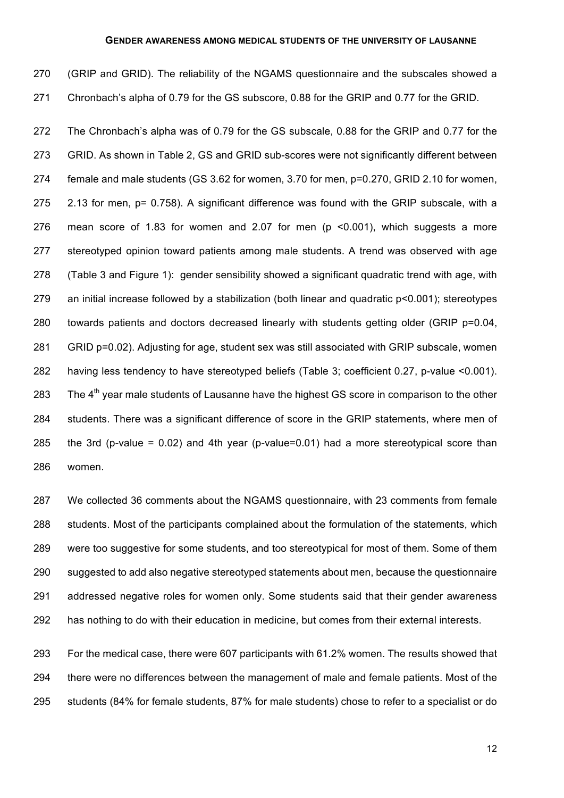| 270 | (GRIP and GRID). The reliability of the NGAMS questionnaire and the subscales showed a           |
|-----|--------------------------------------------------------------------------------------------------|
| 271 | Chronbach's alpha of 0.79 for the GS subscore, 0.88 for the GRIP and 0.77 for the GRID.          |
| 272 | The Chronbach's alpha was of 0.79 for the GS subscale, 0.88 for the GRIP and 0.77 for the        |
| 273 | GRID. As shown in Table 2, GS and GRID sub-scores were not significantly different between       |
| 274 | female and male students (GS 3.62 for women, 3.70 for men, p=0.270, GRID 2.10 for women,         |
| 275 | 2.13 for men, p= 0.758). A significant difference was found with the GRIP subscale, with a       |
| 276 | mean score of 1.83 for women and 2.07 for men (p <0.001), which suggests a more                  |
| 277 | stereotyped opinion toward patients among male students. A trend was observed with age           |
| 278 | (Table 3 and Figure 1): gender sensibility showed a significant quadratic trend with age, with   |
| 279 | an initial increase followed by a stabilization (both linear and quadratic p<0.001); stereotypes |
| 280 | towards patients and doctors decreased linearly with students getting older (GRIP p=0.04,        |
| 281 | GRID p=0.02). Adjusting for age, student sex was still associated with GRIP subscale, women      |
| 282 | having less tendency to have stereotyped beliefs (Table 3; coefficient 0.27, p-value <0.001).    |

283 The  $4<sup>th</sup>$  year male students of Lausanne have the highest GS score in comparison to the other students. There was a significant difference of score in the GRIP statements, where men of the 3rd (p-value = 0.02) and 4th year (p-value=0.01) had a more stereotypical score than women.

 We collected 36 comments about the NGAMS questionnaire, with 23 comments from female students. Most of the participants complained about the formulation of the statements, which were too suggestive for some students, and too stereotypical for most of them. Some of them suggested to add also negative stereotyped statements about men, because the questionnaire addressed negative roles for women only. Some students said that their gender awareness has nothing to do with their education in medicine, but comes from their external interests.

 For the medical case, there were 607 participants with 61.2% women. The results showed that there were no differences between the management of male and female patients. Most of the students (84% for female students, 87% for male students) chose to refer to a specialist or do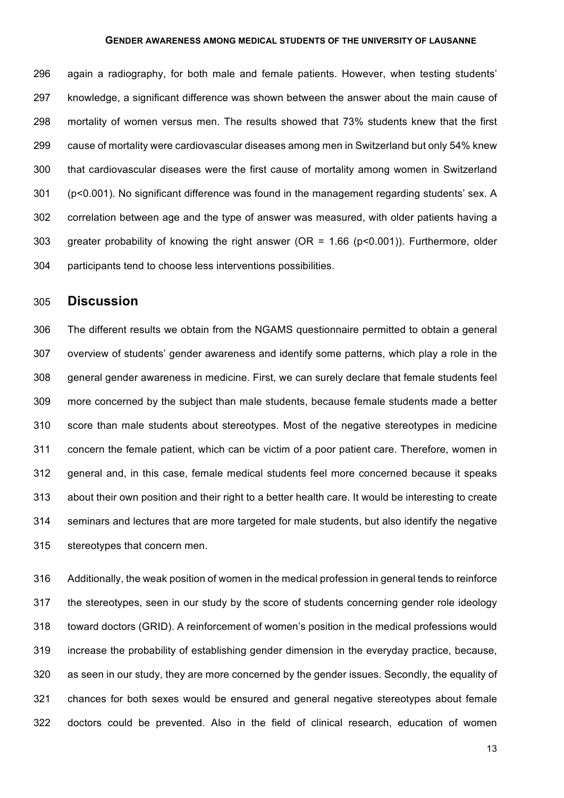again a radiography, for both male and female patients. However, when testing students' knowledge, a significant difference was shown between the answer about the main cause of mortality of women versus men. The results showed that 73% students knew that the first cause of mortality were cardiovascular diseases among men in Switzerland but only 54% knew that cardiovascular diseases were the first cause of mortality among women in Switzerland (p<0.001). No significant difference was found in the management regarding students' sex. A correlation between age and the type of answer was measured, with older patients having a greater probability of knowing the right answer (OR = 1.66 (p<0.001)). Furthermore, older participants tend to choose less interventions possibilities.

## **Discussion**

 The different results we obtain from the NGAMS questionnaire permitted to obtain a general overview of students' gender awareness and identify some patterns, which play a role in the general gender awareness in medicine. First, we can surely declare that female students feel more concerned by the subject than male students, because female students made a better score than male students about stereotypes. Most of the negative stereotypes in medicine concern the female patient, which can be victim of a poor patient care. Therefore, women in general and, in this case, female medical students feel more concerned because it speaks about their own position and their right to a better health care. It would be interesting to create seminars and lectures that are more targeted for male students, but also identify the negative stereotypes that concern men.

 Additionally, the weak position of women in the medical profession in general tends to reinforce the stereotypes, seen in our study by the score of students concerning gender role ideology toward doctors (GRID). A reinforcement of women's position in the medical professions would increase the probability of establishing gender dimension in the everyday practice, because, as seen in our study, they are more concerned by the gender issues. Secondly, the equality of chances for both sexes would be ensured and general negative stereotypes about female doctors could be prevented. Also in the field of clinical research, education of women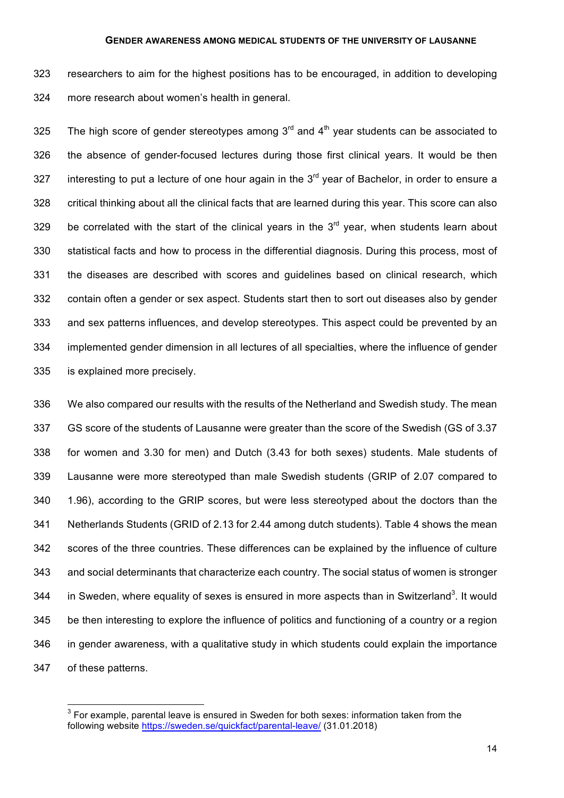researchers to aim for the highest positions has to be encouraged, in addition to developing more research about women's health in general.

325 The high score of gender stereotypes among  $3<sup>rd</sup>$  and  $4<sup>th</sup>$  year students can be associated to the absence of gender-focused lectures during those first clinical years. It would be then 327 interesting to put a lecture of one hour again in the  $3<sup>rd</sup>$  year of Bachelor, in order to ensure a critical thinking about all the clinical facts that are learned during this year. This score can also 329 be correlated with the start of the clinical years in the  $3<sup>rd</sup>$  year, when students learn about statistical facts and how to process in the differential diagnosis. During this process, most of the diseases are described with scores and guidelines based on clinical research, which contain often a gender or sex aspect. Students start then to sort out diseases also by gender and sex patterns influences, and develop stereotypes. This aspect could be prevented by an implemented gender dimension in all lectures of all specialties, where the influence of gender is explained more precisely.

 We also compared our results with the results of the Netherland and Swedish study. The mean GS score of the students of Lausanne were greater than the score of the Swedish (GS of 3.37 for women and 3.30 for men) and Dutch (3.43 for both sexes) students. Male students of Lausanne were more stereotyped than male Swedish students (GRIP of 2.07 compared to 1.96), according to the GRIP scores, but were less stereotyped about the doctors than the Netherlands Students (GRID of 2.13 for 2.44 among dutch students). Table 4 shows the mean scores of the three countries. These differences can be explained by the influence of culture and social determinants that characterize each country. The social status of women is stronger 344 in Sweden, where equality of sexes is ensured in more aspects than in Switzerland<sup>3</sup>. It would be then interesting to explore the influence of politics and functioning of a country or a region in gender awareness, with a qualitative study in which students could explain the importance of these patterns.

 For example, parental leave is ensured in Sweden for both sexes: information taken from the following website https://sweden.se/quickfact/parental-leave/ (31.01.2018)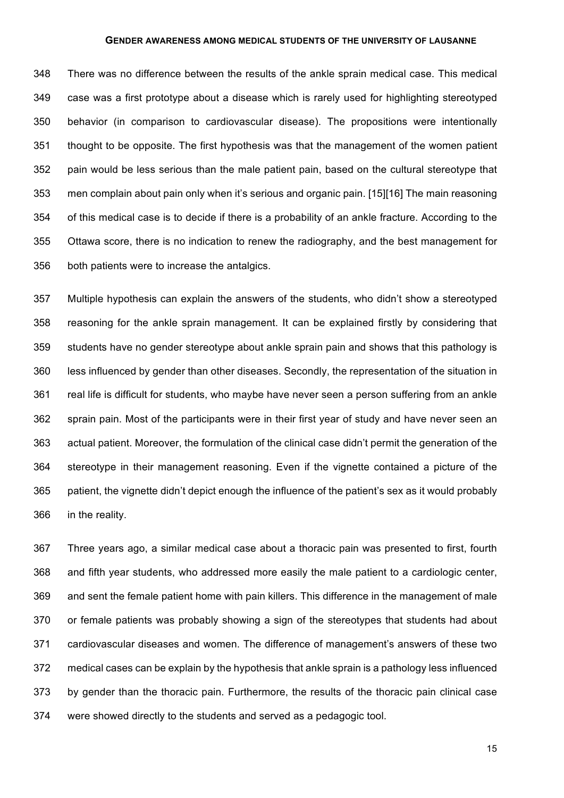There was no difference between the results of the ankle sprain medical case. This medical case was a first prototype about a disease which is rarely used for highlighting stereotyped behavior (in comparison to cardiovascular disease). The propositions were intentionally thought to be opposite. The first hypothesis was that the management of the women patient pain would be less serious than the male patient pain, based on the cultural stereotype that men complain about pain only when it's serious and organic pain. [15][16] The main reasoning of this medical case is to decide if there is a probability of an ankle fracture. According to the Ottawa score, there is no indication to renew the radiography, and the best management for both patients were to increase the antalgics.

 Multiple hypothesis can explain the answers of the students, who didn't show a stereotyped reasoning for the ankle sprain management. It can be explained firstly by considering that students have no gender stereotype about ankle sprain pain and shows that this pathology is less influenced by gender than other diseases. Secondly, the representation of the situation in real life is difficult for students, who maybe have never seen a person suffering from an ankle sprain pain. Most of the participants were in their first year of study and have never seen an actual patient. Moreover, the formulation of the clinical case didn't permit the generation of the stereotype in their management reasoning. Even if the vignette contained a picture of the patient, the vignette didn't depict enough the influence of the patient's sex as it would probably in the reality.

 Three years ago, a similar medical case about a thoracic pain was presented to first, fourth and fifth year students, who addressed more easily the male patient to a cardiologic center, and sent the female patient home with pain killers. This difference in the management of male or female patients was probably showing a sign of the stereotypes that students had about cardiovascular diseases and women. The difference of management's answers of these two medical cases can be explain by the hypothesis that ankle sprain is a pathology less influenced by gender than the thoracic pain. Furthermore, the results of the thoracic pain clinical case were showed directly to the students and served as a pedagogic tool.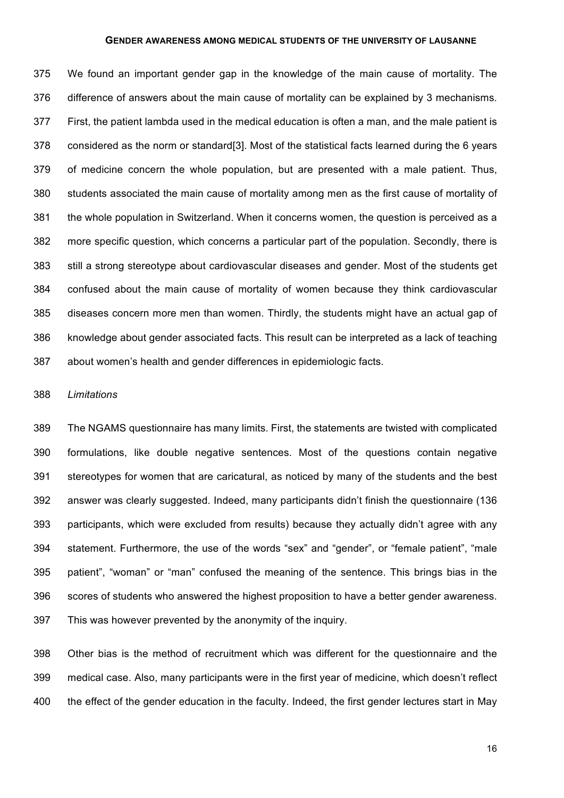We found an important gender gap in the knowledge of the main cause of mortality. The difference of answers about the main cause of mortality can be explained by 3 mechanisms. First, the patient lambda used in the medical education is often a man, and the male patient is considered as the norm or standard[3]. Most of the statistical facts learned during the 6 years of medicine concern the whole population, but are presented with a male patient. Thus, students associated the main cause of mortality among men as the first cause of mortality of the whole population in Switzerland. When it concerns women, the question is perceived as a more specific question, which concerns a particular part of the population. Secondly, there is still a strong stereotype about cardiovascular diseases and gender. Most of the students get confused about the main cause of mortality of women because they think cardiovascular diseases concern more men than women. Thirdly, the students might have an actual gap of knowledge about gender associated facts. This result can be interpreted as a lack of teaching about women's health and gender differences in epidemiologic facts.

#### *Limitations*

 The NGAMS questionnaire has many limits. First, the statements are twisted with complicated formulations, like double negative sentences. Most of the questions contain negative stereotypes for women that are caricatural, as noticed by many of the students and the best answer was clearly suggested. Indeed, many participants didn't finish the questionnaire (136 participants, which were excluded from results) because they actually didn't agree with any statement. Furthermore, the use of the words "sex" and "gender", or "female patient", "male patient", "woman" or "man" confused the meaning of the sentence. This brings bias in the scores of students who answered the highest proposition to have a better gender awareness. This was however prevented by the anonymity of the inquiry.

 Other bias is the method of recruitment which was different for the questionnaire and the medical case. Also, many participants were in the first year of medicine, which doesn't reflect the effect of the gender education in the faculty. Indeed, the first gender lectures start in May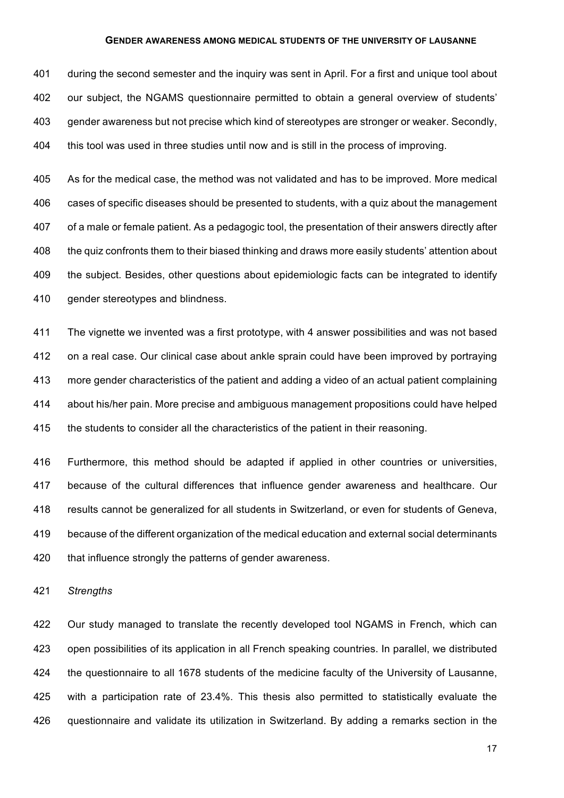during the second semester and the inquiry was sent in April. For a first and unique tool about our subject, the NGAMS questionnaire permitted to obtain a general overview of students' gender awareness but not precise which kind of stereotypes are stronger or weaker. Secondly, this tool was used in three studies until now and is still in the process of improving.

 As for the medical case, the method was not validated and has to be improved. More medical cases of specific diseases should be presented to students, with a quiz about the management of a male or female patient. As a pedagogic tool, the presentation of their answers directly after the quiz confronts them to their biased thinking and draws more easily students' attention about the subject. Besides, other questions about epidemiologic facts can be integrated to identify 410 gender stereotypes and blindness.

 The vignette we invented was a first prototype, with 4 answer possibilities and was not based on a real case. Our clinical case about ankle sprain could have been improved by portraying more gender characteristics of the patient and adding a video of an actual patient complaining about his/her pain. More precise and ambiguous management propositions could have helped 415 the students to consider all the characteristics of the patient in their reasoning.

 Furthermore, this method should be adapted if applied in other countries or universities, because of the cultural differences that influence gender awareness and healthcare. Our results cannot be generalized for all students in Switzerland, or even for students of Geneva, because of the different organization of the medical education and external social determinants 420 that influence strongly the patterns of gender awareness.

*Strengths*

 Our study managed to translate the recently developed tool NGAMS in French, which can open possibilities of its application in all French speaking countries. In parallel, we distributed the questionnaire to all 1678 students of the medicine faculty of the University of Lausanne, with a participation rate of 23.4%. This thesis also permitted to statistically evaluate the questionnaire and validate its utilization in Switzerland. By adding a remarks section in the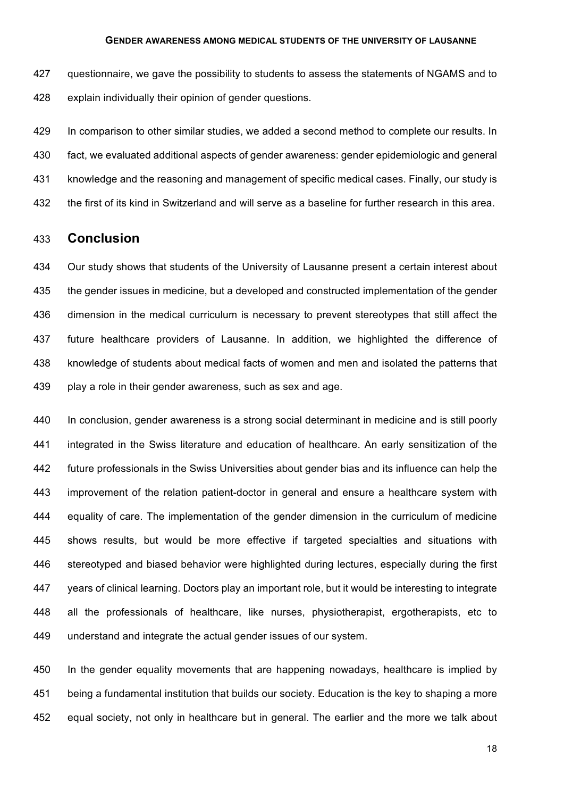427 questionnaire, we gave the possibility to students to assess the statements of NGAMS and to explain individually their opinion of gender questions.

429 In comparison to other similar studies, we added a second method to complete our results. In fact, we evaluated additional aspects of gender awareness: gender epidemiologic and general knowledge and the reasoning and management of specific medical cases. Finally, our study is the first of its kind in Switzerland and will serve as a baseline for further research in this area.

## **Conclusion**

 Our study shows that students of the University of Lausanne present a certain interest about the gender issues in medicine, but a developed and constructed implementation of the gender dimension in the medical curriculum is necessary to prevent stereotypes that still affect the future healthcare providers of Lausanne. In addition, we highlighted the difference of knowledge of students about medical facts of women and men and isolated the patterns that play a role in their gender awareness, such as sex and age.

 In conclusion, gender awareness is a strong social determinant in medicine and is still poorly integrated in the Swiss literature and education of healthcare. An early sensitization of the future professionals in the Swiss Universities about gender bias and its influence can help the improvement of the relation patient-doctor in general and ensure a healthcare system with equality of care. The implementation of the gender dimension in the curriculum of medicine shows results, but would be more effective if targeted specialties and situations with stereotyped and biased behavior were highlighted during lectures, especially during the first years of clinical learning. Doctors play an important role, but it would be interesting to integrate all the professionals of healthcare, like nurses, physiotherapist, ergotherapists, etc to understand and integrate the actual gender issues of our system.

 In the gender equality movements that are happening nowadays, healthcare is implied by being a fundamental institution that builds our society. Education is the key to shaping a more equal society, not only in healthcare but in general. The earlier and the more we talk about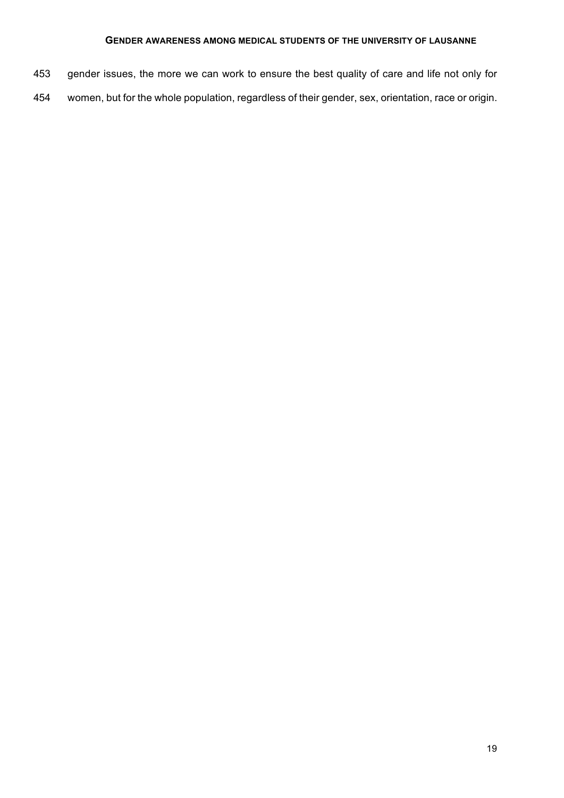- gender issues, the more we can work to ensure the best quality of care and life not only for
- women, but for the whole population, regardless of their gender, sex, orientation, race or origin.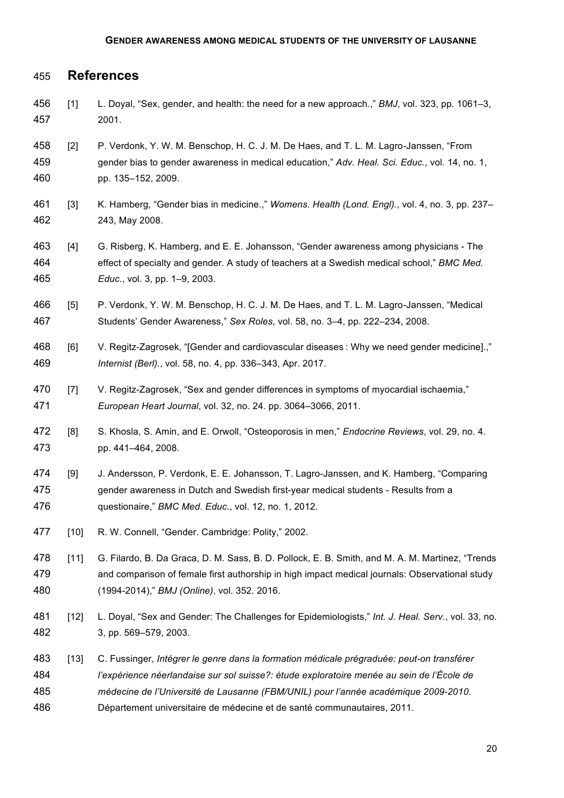## **References**

- [1] L. Doyal, "Sex, gender, and health: the need for a new approach.," *BMJ*, vol. 323, pp. 1061–3, 2001.
- [2] P. Verdonk, Y. W. M. Benschop, H. C. J. M. De Haes, and T. L. M. Lagro-Janssen, "From gender bias to gender awareness in medical education," *Adv. Heal. Sci. Educ.*, vol. 14, no. 1, pp. 135–152, 2009.
- [3] K. Hamberg, "Gender bias in medicine.," *Womens. Health (Lond. Engl).*, vol. 4, no. 3, pp. 237– 243, May 2008.
- [4] G. Risberg, K. Hamberg, and E. E. Johansson, "Gender awareness among physicians The effect of specialty and gender. A study of teachers at a Swedish medical school," *BMC Med. Educ.*, vol. 3, pp. 1–9, 2003.
- [5] P. Verdonk, Y. W. M. Benschop, H. C. J. M. De Haes, and T. L. M. Lagro-Janssen, "Medical Students' Gender Awareness," *Sex Roles*, vol. 58, no. 3–4, pp. 222–234, 2008.
- 468 [6] V. Regitz-Zagrosek, "[Gender and cardiovascular diseases : Why we need gender medicine].," *Internist (Berl).*, vol. 58, no. 4, pp. 336–343, Apr. 2017.
- 470 [7] V. Regitz-Zagrosek, "Sex and gender differences in symptoms of myocardial ischaemia," *European Heart Journal*, vol. 32, no. 24. pp. 3064–3066, 2011.
- [8] S. Khosla, S. Amin, and E. Orwoll, "Osteoporosis in men," *Endocrine Reviews*, vol. 29, no. 4. pp. 441–464, 2008.
- [9] J. Andersson, P. Verdonk, E. E. Johansson, T. Lagro-Janssen, and K. Hamberg, "Comparing gender awareness in Dutch and Swedish first-year medical students - Results from a questionaire," *BMC Med. Educ.*, vol. 12, no. 1, 2012.
- [10] R. W. Connell, "Gender. Cambridge: Polity," 2002.
- 478 [11] G. Filardo, B. Da Graca, D. M. Sass, B. D. Pollock, E. B. Smith, and M. A. M. Martinez, "Trends and comparison of female first authorship in high impact medical journals: Observational study (1994-2014)," *BMJ (Online)*, vol. 352. 2016.
- [12] L. Doyal, "Sex and Gender: The Challenges for Epidemiologists," *Int. J. Heal. Serv.*, vol. 33, no. 3, pp. 569–579, 2003.
- [13] C. Fussinger, *Intégrer le genre dans la formation médicale prégraduée: peut-on transférer l'expérience néerlandaise sur sol suisse?: étude exploratoire menée au sein de l'École de médecine de l'Université de Lausanne (FBM/UNIL) pour l'année académique 2009-2010*. Département universitaire de médecine et de santé communautaires, 2011.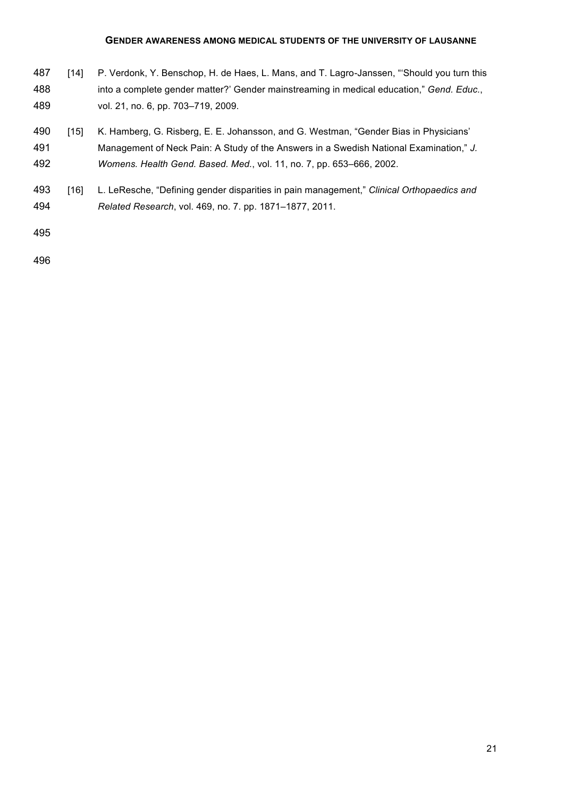- 487 [14] P. Verdonk, Y. Benschop, H. de Haes, L. Mans, and T. Lagro-Janssen, "Should you turn this into a complete gender matter?' Gender mainstreaming in medical education," *Gend. Educ.*, vol. 21, no. 6, pp. 703–719, 2009.
- 490 [15] K. Hamberg, G. Risberg, E. E. Johansson, and G. Westman, "Gender Bias in Physicians'
- Management of Neck Pain: A Study of the Answers in a Swedish National Examination," *J. Womens. Health Gend. Based. Med.*, vol. 11, no. 7, pp. 653–666, 2002.
- [16] L. LeResche, "Defining gender disparities in pain management," *Clinical Orthopaedics and Related Research*, vol. 469, no. 7. pp. 1871–1877, 2011.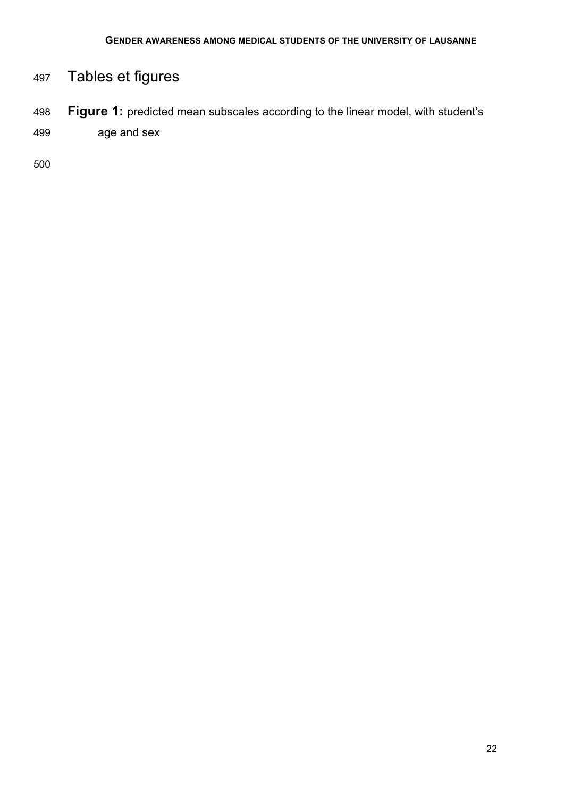# Tables et figures

 **Figure 1:** predicted mean subscales according to the linear model, with student's age and sex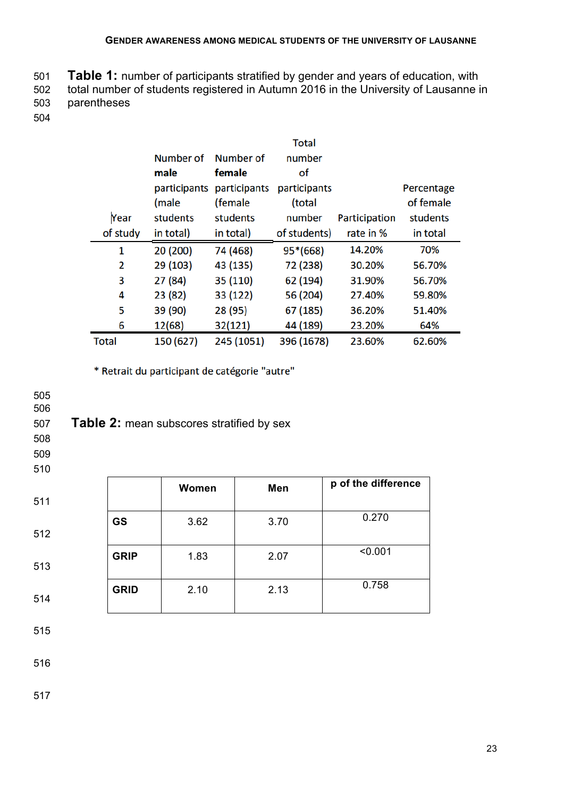**Table 1:** number of participants stratified by gender and years of education, with total number of students registered in Autumn 2016 in the University of Lausanne in parentheses

- 
- 

|              |              |              | <b>Total</b> |               |            |
|--------------|--------------|--------------|--------------|---------------|------------|
|              | Number of    | Number of    | number       |               |            |
|              | male         | female       | οf           |               |            |
|              | participants | participants | participants |               | Percentage |
|              | (male        | (female      | (total       |               | of female  |
| Year         | students     | students     | number       | Participation | students   |
| of study     | in total)    | in total)    | of students) | rate in %     | in total   |
| 1            | 20 (200)     | 74 (468)     | $95*(668)$   | 14.20%        | 70%        |
| 2            | 29 (103)     | 43 (135)     | 72 (238)     | 30.20%        | 56.70%     |
| 3            | 27 (84)      | 35 (110)     | 62 (194)     | 31.90%        | 56.70%     |
| 4            | 23 (82)      | 33 (122)     | 56 (204)     | 27.40%        | 59.80%     |
| 5            | 39 (90)      | 28 (95)      | 67 (185)     | 36.20%        | 51.40%     |
| 6            | 12(68)       | 32(121)      | 44 (189)     | 23.20%        | 64%        |
| <b>Total</b> | 150 (627)    | 245 (1051)   | 396 (1678)   | 23.60%        | 62.60%     |

\* Retrait du participant de catégorie "autre"

| 505<br>506<br>507<br>508<br>509<br>510 |             | <b>Table 2: mean subscores stratified by sex</b> |      |                     |
|----------------------------------------|-------------|--------------------------------------------------|------|---------------------|
| 511                                    |             | Women                                            | Men  | p of the difference |
| 512                                    | <b>GS</b>   | 3.62                                             | 3.70 | 0.270               |
| 513                                    | <b>GRIP</b> | 1.83                                             | 2.07 | < 0.001             |
| 514                                    | <b>GRID</b> | 2.10                                             | 2.13 | 0.758               |
| 515                                    |             |                                                  |      |                     |
| 516                                    |             |                                                  |      |                     |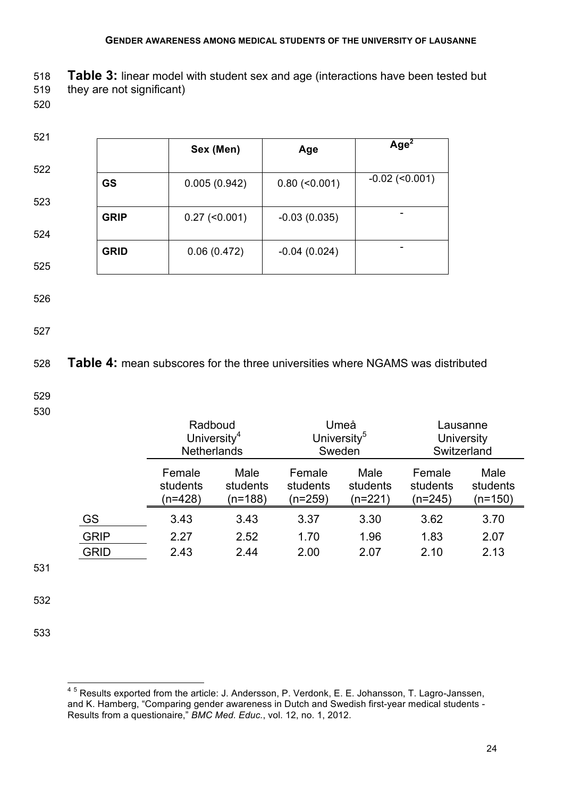| 518 | <b>Table 3:</b> linear model with student sex and age (interactions have been tested but |
|-----|------------------------------------------------------------------------------------------|
| 519 | they are not significant)                                                                |

520

| 521 |             |                     |                     |                       |
|-----|-------------|---------------------|---------------------|-----------------------|
|     |             | Sex (Men)           | Age                 | Age <sup>2</sup>      |
| 522 |             |                     |                     |                       |
|     | <b>GS</b>   | 0.005(0.942)        | $0.80$ (< $0.001$ ) | $-0.02$ ( $< 0.001$ ) |
| 523 |             |                     |                     |                       |
|     | <b>GRIP</b> | $0.27$ (< $0.001$ ) | $-0.03(0.035)$      | ۰                     |
| 524 |             |                     |                     |                       |
|     | <b>GRID</b> | 0.06(0.472)         | $-0.04(0.024)$      |                       |
| 525 |             |                     |                     |                       |

- 
- 526
- 527

## 528 **Table 4:** mean subscores for the three universities where NGAMS was distributed

- 529
- 530

|                            | Radboud<br>University <sup>4</sup><br><b>Netherlands</b> |                             |                               | Umeå<br>University <sup>5</sup><br>Sweden |                               | Lausanne<br><b>University</b><br>Switzerland |
|----------------------------|----------------------------------------------------------|-----------------------------|-------------------------------|-------------------------------------------|-------------------------------|----------------------------------------------|
|                            | Female<br>students<br>(n=428)                            | Male<br>students<br>(n=188) | Female<br>students<br>(n=259) | Male<br>students<br>(n=221)               | Female<br>students<br>(n=245) | Male<br>students<br>(n=150)                  |
| <b>GS</b>                  | 3.43                                                     | 3.43                        | 3.37                          | 3.30                                      | 3.62                          | 3.70                                         |
| <b>GRIP</b><br><b>GRID</b> | 2.27<br>2.43                                             | 2.52<br>2.44                | 1.70<br>2.00                  | 1.96<br>2.07                              | 1.83<br>2.10                  | 2.07<br>2.13                                 |
|                            |                                                          |                             |                               |                                           |                               |                                              |

531

532

<sup>45</sup> Results exported from the article: J. Andersson, P. Verdonk, E. E. Johansson, T. Lagro-Janssen, and K. Hamberg, "Comparing gender awareness in Dutch and Swedish first-year medical students - Results from a questionaire," *BMC Med. Educ.*, vol. 12, no. 1, 2012.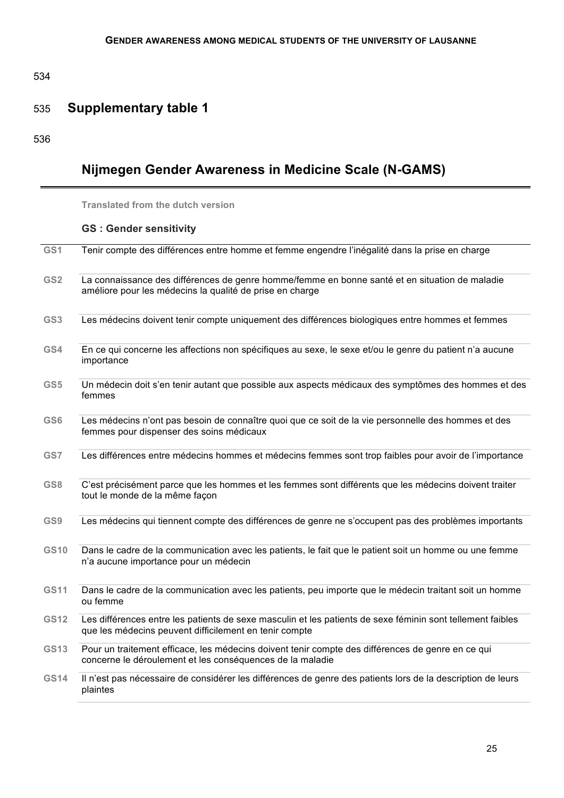534

## 535 **Supplementary table 1**

536

# **Nijmegen Gender Awareness in Medicine Scale (N-GAMS)**

**Translated from the dutch version** 

## **GS : Gender sensitivity**

| GS1             | Tenir compte des différences entre homme et femme engendre l'inégalité dans la prise en charge                                                                       |
|-----------------|----------------------------------------------------------------------------------------------------------------------------------------------------------------------|
| GS <sub>2</sub> | La connaissance des différences de genre homme/femme en bonne santé et en situation de maladie<br>améliore pour les médecins la qualité de prise en charge           |
| GS3             | Les médecins doivent tenir compte uniquement des différences biologiques entre hommes et femmes                                                                      |
| GS4             | En ce qui concerne les affections non spécifiques au sexe, le sexe et/ou le genre du patient n'a aucune<br>importance                                                |
| GS5             | Un médecin doit s'en tenir autant que possible aux aspects médicaux des symptômes des hommes et des<br>femmes                                                        |
| GS6             | Les médecins n'ont pas besoin de connaître quoi que ce soit de la vie personnelle des hommes et des<br>femmes pour dispenser des soins médicaux                      |
| GS7             | Les différences entre médecins hommes et médecins femmes sont trop faibles pour avoir de l'importance                                                                |
| GS8             | C'est précisément parce que les hommes et les femmes sont différents que les médecins doivent traiter<br>tout le monde de la même façon                              |
| GS9             | Les médecins qui tiennent compte des différences de genre ne s'occupent pas des problèmes importants                                                                 |
| <b>GS10</b>     | Dans le cadre de la communication avec les patients, le fait que le patient soit un homme ou une femme<br>n'a aucune importance pour un médecin                      |
| <b>GS11</b>     | Dans le cadre de la communication avec les patients, peu importe que le médecin traitant soit un homme<br>ou femme                                                   |
| <b>GS12</b>     | Les différences entre les patients de sexe masculin et les patients de sexe féminin sont tellement faibles<br>que les médecins peuvent difficilement en tenir compte |
| GS13            | Pour un traitement efficace, les médecins doivent tenir compte des différences de genre en ce qui<br>concerne le déroulement et les conséquences de la maladie       |
| <b>GS14</b>     | Il n'est pas nécessaire de considérer les différences de genre des patients lors de la description de leurs<br>plaintes                                              |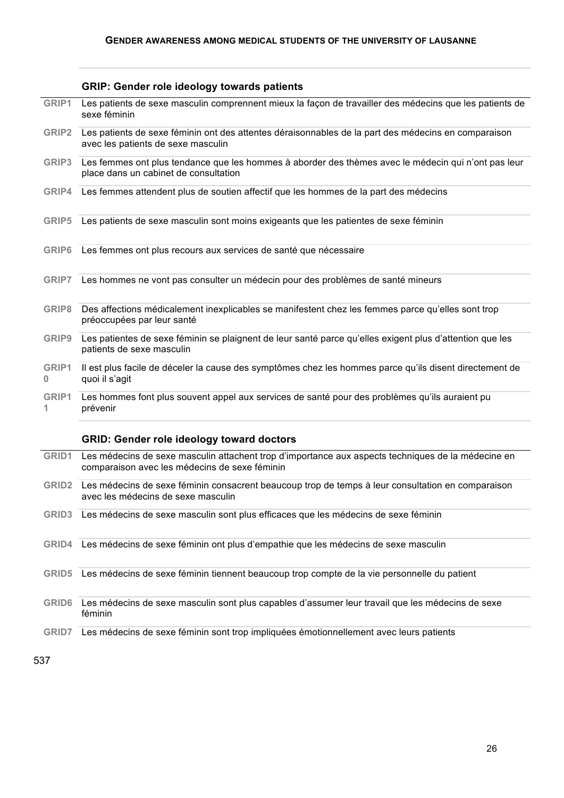#### **GRIP: Gender role ideology towards patients**

- **GRIP1** Les patients de sexe masculin comprennent mieux la façon de travailler des médecins que les patients de sexe féminin
- **GRIP2** Les patients de sexe féminin ont des attentes déraisonnables de la part des médecins en comparaison avec les patients de sexe masculin
- **GRIP3** Les femmes ont plus tendance que les hommes à aborder des thèmes avec le médecin qui n'ont pas leur place dans un cabinet de consultation
- **GRIP4** Les femmes attendent plus de soutien affectif que les hommes de la part des médecins
- **GRIP5** Les patients de sexe masculin sont moins exigeants que les patientes de sexe féminin
- **GRIP6** Les femmes ont plus recours aux services de santé que nécessaire
- **GRIP7** Les hommes ne vont pas consulter un médecin pour des problèmes de santé mineurs
- **GRIP8** Des affections médicalement inexplicables se manifestent chez les femmes parce qu'elles sont trop préoccupées par leur santé
- **GRIP9** Les patientes de sexe féminin se plaignent de leur santé parce qu'elles exigent plus d'attention que les patients de sexe masculin
- **GRIP1 0** Il est plus facile de déceler la cause des symptômes chez les hommes parce qu'ils disent directement de quoi il s'agit
- **GRIP1 1** Les hommes font plus souvent appel aux services de santé pour des problèmes qu'ils auraient pu prévenir

#### **GRID: Gender role ideology toward doctors**

| GRID1             | Les médecins de sexe masculin attachent trop d'importance aux aspects techniques de la médecine en<br>comparaison avec les médecins de sexe féminin |
|-------------------|-----------------------------------------------------------------------------------------------------------------------------------------------------|
| GRID <sub>2</sub> | Les médecins de sexe féminin consacrent beaucoup trop de temps à leur consultation en comparaison<br>avec les médecins de sexe masculin             |
| GRID <sub>3</sub> | Les médecins de sexe masculin sont plus efficaces que les médecins de sexe féminin                                                                  |
| GRID4             | Les médecins de sexe féminin ont plus d'empathie que les médecins de sexe masculin                                                                  |
| GRID <sub>5</sub> | Les médecins de sexe féminin tiennent beaucoup trop compte de la vie personnelle du patient                                                         |
| <b>GRID6</b>      | Les médecins de sexe masculin sont plus capables d'assumer leur travail que les médecins de sexe<br>féminin                                         |
| GRID7             | Les médecins de sexe féminin sont trop impliquées émotionnellement avec leurs patients                                                              |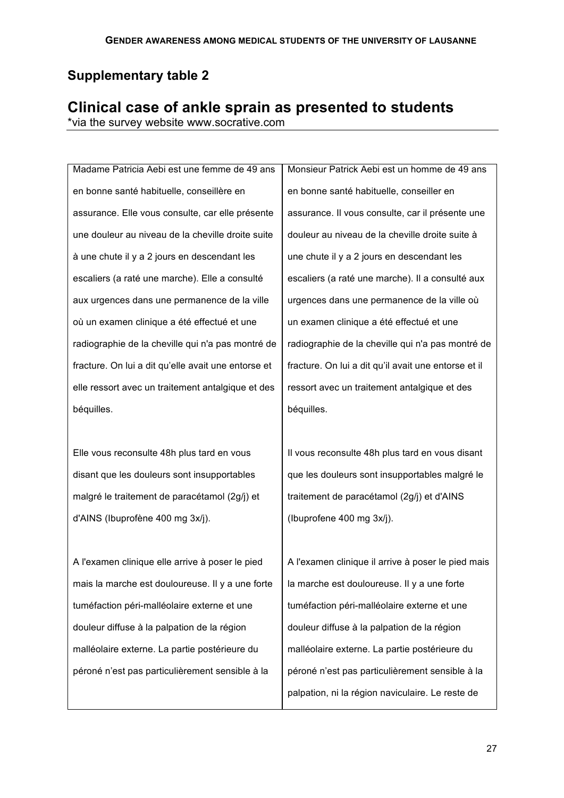## **Supplementary table 2**

# **Clinical case of ankle sprain as presented to students**

\*via the survey website www.socrative.com

Madame Patricia Aebi est une femme de 49 ans en bonne santé habituelle, conseillère en assurance. Elle vous consulte, car elle présente une douleur au niveau de la cheville droite suite à une chute il y a 2 jours en descendant les escaliers (a raté une marche). Elle a consulté aux urgences dans une permanence de la ville où un examen clinique a été effectué et une radiographie de la cheville qui n'a pas montré de fracture. On lui a dit qu'elle avait une entorse et elle ressort avec un traitement antalgique et des béquilles.

Elle vous reconsulte 48h plus tard en vous disant que les douleurs sont insupportables malgré le traitement de paracétamol (2g/j) et d'AINS (Ibuprofène 400 mg 3x/j).

A l'examen clinique elle arrive à poser le pied mais la marche est douloureuse. Il y a une forte tuméfaction péri-malléolaire externe et une douleur diffuse à la palpation de la région malléolaire externe. La partie postérieure du péroné n'est pas particulièrement sensible à la

Monsieur Patrick Aebi est un homme de 49 ans en bonne santé habituelle, conseiller en assurance. Il vous consulte, car il présente une douleur au niveau de la cheville droite suite à une chute il y a 2 jours en descendant les escaliers (a raté une marche). Il a consulté aux urgences dans une permanence de la ville où un examen clinique a été effectué et une radiographie de la cheville qui n'a pas montré de fracture. On lui a dit qu'il avait une entorse et il ressort avec un traitement antalgique et des béquilles.

Il vous reconsulte 48h plus tard en vous disant que les douleurs sont insupportables malgré le traitement de paracétamol (2g/j) et d'AINS (Ibuprofene 400 mg 3x/j).

A l'examen clinique il arrive à poser le pied mais la marche est douloureuse. Il y a une forte tuméfaction péri-malléolaire externe et une douleur diffuse à la palpation de la région malléolaire externe. La partie postérieure du péroné n'est pas particulièrement sensible à la palpation, ni la région naviculaire. Le reste de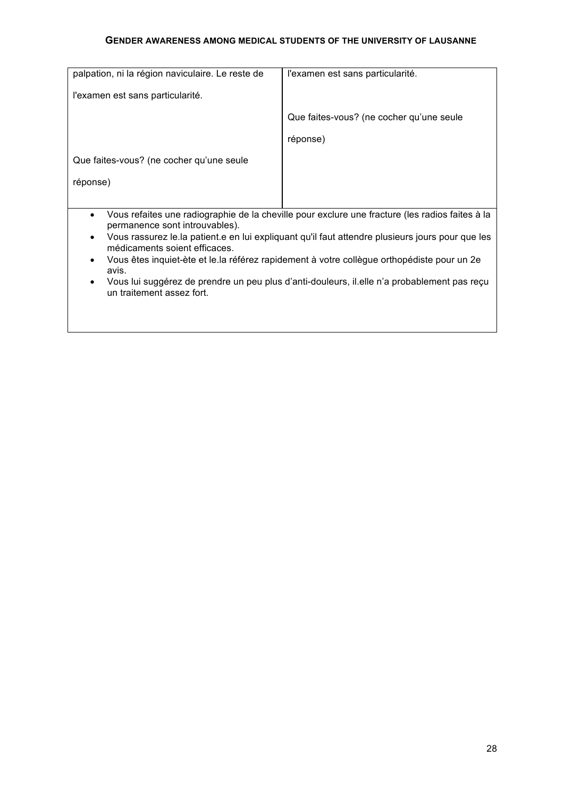| palpation, ni la région naviculaire. Le reste de                                                    | l'examen est sans particularité.                                                                 |  |
|-----------------------------------------------------------------------------------------------------|--------------------------------------------------------------------------------------------------|--|
| l'examen est sans particularité.                                                                    |                                                                                                  |  |
|                                                                                                     | Que faites-vous? (ne cocher qu'une seule                                                         |  |
|                                                                                                     | réponse)                                                                                         |  |
| Que faites-vous? (ne cocher qu'une seule                                                            |                                                                                                  |  |
| réponse)                                                                                            |                                                                                                  |  |
|                                                                                                     |                                                                                                  |  |
| $\bullet$                                                                                           | Vous refaites une radiographie de la cheville pour exclure une fracture (les radios faites à la  |  |
| permanence sont introuvables).                                                                      | Vous rassurez le la patient e en lui expliquant qu'il faut attendre plusieurs jours pour que les |  |
| médicaments soient efficaces.                                                                       |                                                                                                  |  |
| Vous êtes inquiet-ète et le la référez rapidement à votre collègue orthopédiste pour un 2e<br>avis. |                                                                                                  |  |
| un traitement assez fort.                                                                           | Vous lui suggérez de prendre un peu plus d'anti-douleurs, il elle n'a probablement pas reçu      |  |
|                                                                                                     |                                                                                                  |  |